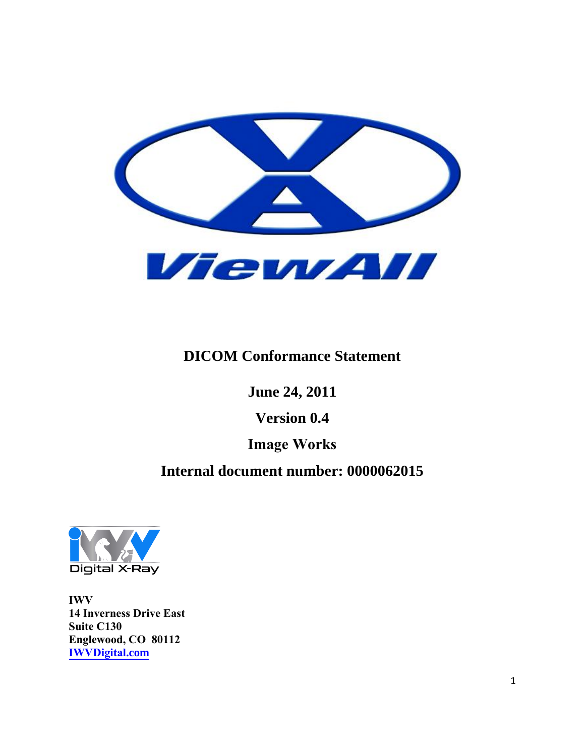

## **DICOM Conformance Statement**

**June 24, 2011** 

**Version 0.4** 

## **Image Works**

## **Internal document number: 0000062015**



**IWV 14 Inverness Drive East Suite C130 Englewood, CO 80112 [IWVDigital](http://www.imageworkscorporation.com/).com**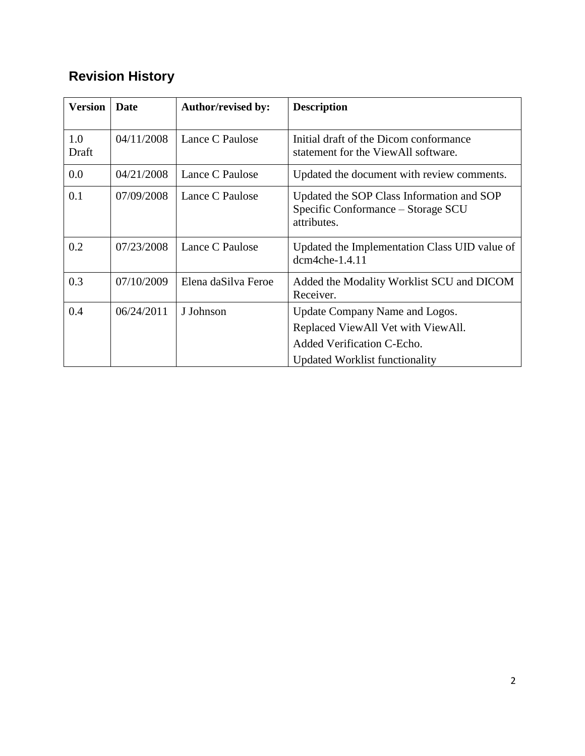# **Revision History**

| <b>Version</b> | Date       | <b>Author/revised by:</b> | <b>Description</b>                                                                             |
|----------------|------------|---------------------------|------------------------------------------------------------------------------------------------|
| 1.0<br>Draft   | 04/11/2008 | Lance C Paulose           | Initial draft of the Dicom conformance<br>statement for the ViewAll software.                  |
| 0.0            | 04/21/2008 | Lance C Paulose           | Updated the document with review comments.                                                     |
| 0.1            | 07/09/2008 | Lance C Paulose           | Updated the SOP Class Information and SOP<br>Specific Conformance - Storage SCU<br>attributes. |
| 0.2            | 07/23/2008 | Lance C Paulose           | Updated the Implementation Class UID value of<br>dcm4che-1.4.11                                |
| 0.3            | 07/10/2009 | Elena daSilva Feroe       | Added the Modality Worklist SCU and DICOM<br>Receiver.                                         |
| 0.4            | 06/24/2011 | J Johnson                 | Update Company Name and Logos.                                                                 |
|                |            |                           | Replaced ViewAll Vet with ViewAll.                                                             |
|                |            |                           | Added Verification C-Echo.                                                                     |
|                |            |                           | <b>Updated Worklist functionality</b>                                                          |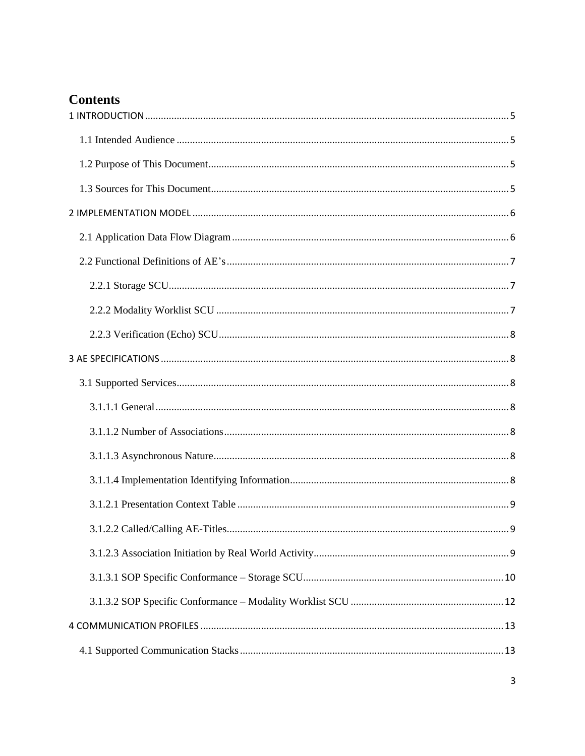## **Contents**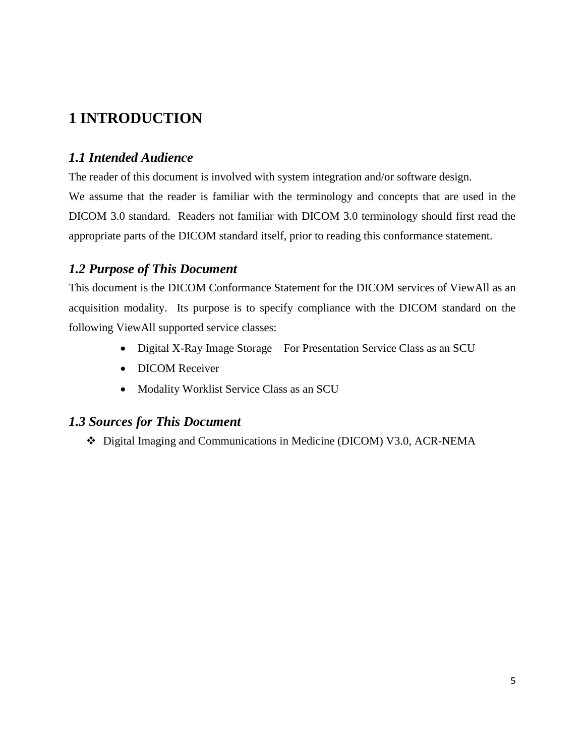## <span id="page-4-0"></span>**1 INTRODUCTION**

## <span id="page-4-1"></span>*1.1 Intended Audience*

The reader of this document is involved with system integration and/or software design.

We assume that the reader is familiar with the terminology and concepts that are used in the DICOM 3.0 standard. Readers not familiar with DICOM 3.0 terminology should first read the appropriate parts of the DICOM standard itself, prior to reading this conformance statement.

## <span id="page-4-2"></span>*1.2 Purpose of This Document*

This document is the DICOM Conformance Statement for the DICOM services of ViewAll as an acquisition modality. Its purpose is to specify compliance with the DICOM standard on the following ViewAll supported service classes:

- Digital X-Ray Image Storage For Presentation Service Class as an SCU
- DICOM Receiver
- Modality Worklist Service Class as an SCU

## <span id="page-4-3"></span>*1.3 Sources for This Document*

Digital Imaging and Communications in Medicine (DICOM) V3.0, ACR-NEMA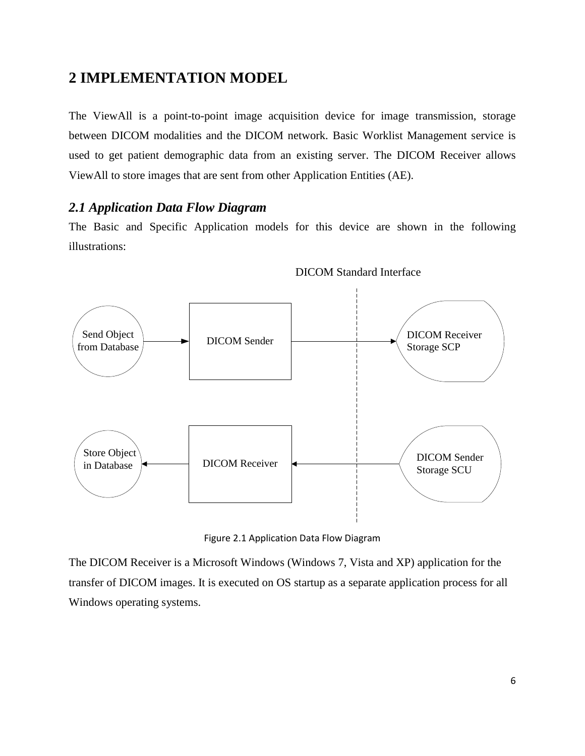## <span id="page-5-0"></span>**2 IMPLEMENTATION MODEL**

The ViewAll is a point-to-point image acquisition device for image transmission, storage between DICOM modalities and the DICOM network. Basic Worklist Management service is used to get patient demographic data from an existing server. The DICOM Receiver allows ViewAll to store images that are sent from other Application Entities (AE).

#### <span id="page-5-1"></span>*2.1 Application Data Flow Diagram*

The Basic and Specific Application models for this device are shown in the following illustrations:



DICOM Standard Interface

Figure 2.1 Application Data Flow Diagram

The DICOM Receiver is a Microsoft Windows (Windows 7, Vista and XP) application for the transfer of DICOM images. It is executed on OS startup as a separate application process for all Windows operating systems.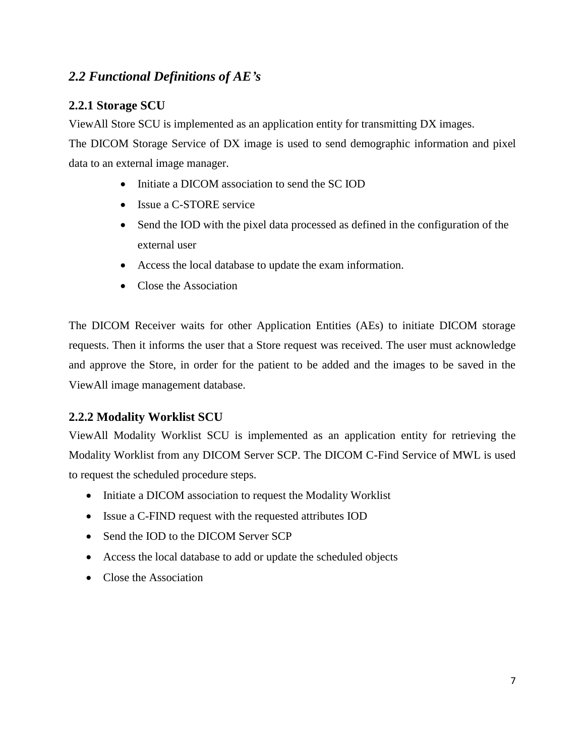## <span id="page-6-0"></span>*2.2 Functional Definitions of AE's*

#### <span id="page-6-1"></span>**2.2.1 Storage SCU**

ViewAll Store SCU is implemented as an application entity for transmitting DX images.

The DICOM Storage Service of DX image is used to send demographic information and pixel data to an external image manager.

- Initiate a DICOM association to send the SC IOD
- Issue a C-STORE service
- Send the IOD with the pixel data processed as defined in the configuration of the external user
- Access the local database to update the exam information.
- Close the Association

The DICOM Receiver waits for other Application Entities (AEs) to initiate DICOM storage requests. Then it informs the user that a Store request was received. The user must acknowledge and approve the Store, in order for the patient to be added and the images to be saved in the ViewAll image management database.

#### <span id="page-6-2"></span>**2.2.2 Modality Worklist SCU**

ViewAll Modality Worklist SCU is implemented as an application entity for retrieving the Modality Worklist from any DICOM Server SCP. The DICOM C-Find Service of MWL is used to request the scheduled procedure steps.

- Initiate a DICOM association to request the Modality Worklist
- Issue a C-FIND request with the requested attributes IOD
- Send the IOD to the DICOM Server SCP
- Access the local database to add or update the scheduled objects
- Close the Association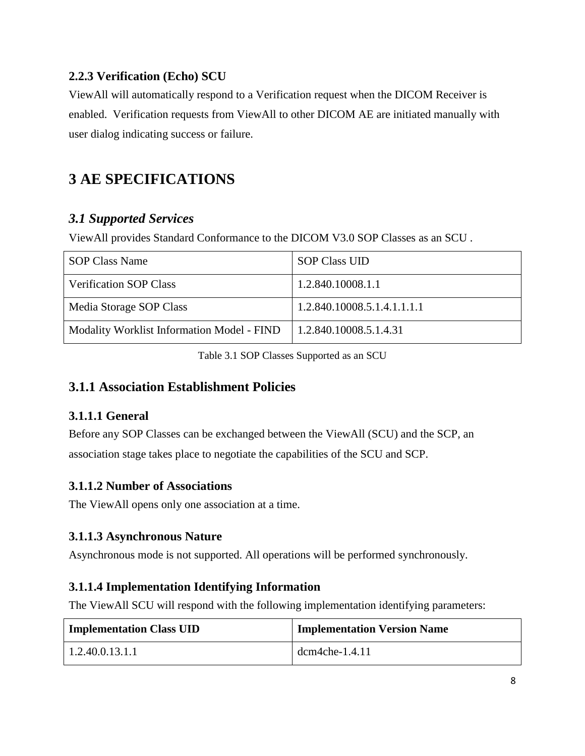#### <span id="page-7-0"></span>**2.2.3 Verification (Echo) SCU**

ViewAll will automatically respond to a Verification request when the DICOM Receiver is enabled. Verification requests from ViewAll to other DICOM AE are initiated manually with user dialog indicating success or failure.

# <span id="page-7-1"></span>**3 AE SPECIFICATIONS**

## <span id="page-7-2"></span>*3.1 Supported Services*

ViewAll provides Standard Conformance to the DICOM V3.0 SOP Classes as an SCU .

| <b>SOP Class Name</b>                      | <b>SOP Class UID</b>          |
|--------------------------------------------|-------------------------------|
| <b>Verification SOP Class</b>              | 1.2.840.10008.1.1             |
| Media Storage SOP Class                    | 1.2.840.10008.5.1.4.1.1.1.1   |
| Modality Worklist Information Model - FIND | $\mid$ 1.2.840.10008.5.1.4.31 |

Table 3.1 SOP Classes Supported as an SCU

## **3.1.1 Association Establishment Policies**

## <span id="page-7-3"></span>**3.1.1.1 General**

Before any SOP Classes can be exchanged between the ViewAll (SCU) and the SCP, an association stage takes place to negotiate the capabilities of the SCU and SCP.

## <span id="page-7-4"></span>**3.1.1.2 Number of Associations**

The ViewAll opens only one association at a time.

## <span id="page-7-5"></span>**3.1.1.3 Asynchronous Nature**

Asynchronous mode is not supported. All operations will be performed synchronously.

## <span id="page-7-6"></span>**3.1.1.4 Implementation Identifying Information**

The ViewAll SCU will respond with the following implementation identifying parameters:

| <b>Implementation Class UID</b> | <b>Implementation Version Name</b> |  |  |
|---------------------------------|------------------------------------|--|--|
| 1.2.40.0.13.1.1                 | $dcm4che-1.4.11$                   |  |  |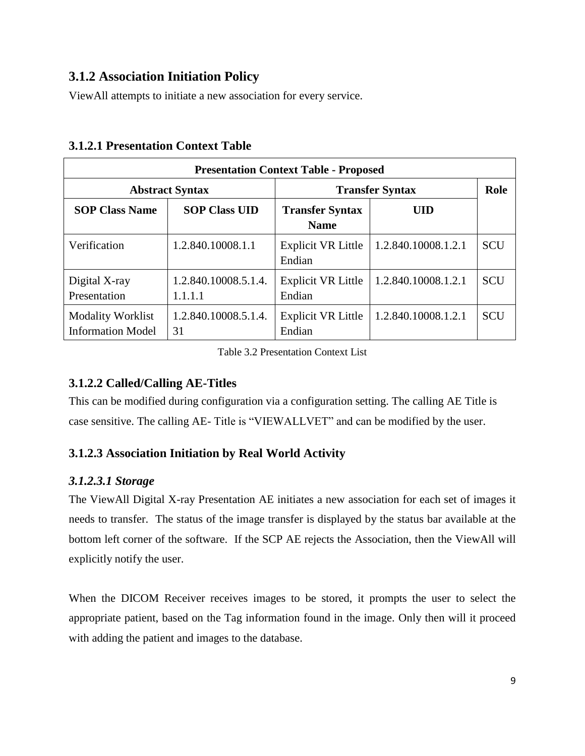## **3.1.2 Association Initiation Policy**

ViewAll attempts to initiate a new association for every service.

| <b>Presentation Context Table - Proposed</b>         |                                 |                                       |                     |            |  |  |  |
|------------------------------------------------------|---------------------------------|---------------------------------------|---------------------|------------|--|--|--|
|                                                      | <b>Abstract Syntax</b>          | <b>Transfer Syntax</b>                | Role                |            |  |  |  |
| <b>SOP Class Name</b>                                | <b>SOP Class UID</b>            | <b>Transfer Syntax</b><br><b>Name</b> | UID                 |            |  |  |  |
| Verification                                         | 1.2.840.10008.1.1               | Explicit VR Little<br>Endian          | 1.2.840.10008.1.2.1 | <b>SCU</b> |  |  |  |
| Digital X-ray<br>Presentation                        | 1.2.840.10008.5.1.4.<br>1.1.1.1 | <b>Explicit VR Little</b><br>Endian   | 1.2.840.10008.1.2.1 | <b>SCU</b> |  |  |  |
| <b>Modality Worklist</b><br><b>Information Model</b> | 1.2.840.10008.5.1.4.<br>31      | Explicit VR Little<br>Endian          | 1.2.840.10008.1.2.1 | <b>SCU</b> |  |  |  |

#### <span id="page-8-0"></span>**3.1.2.1 Presentation Context Table**

Table 3.2 Presentation Context List

## <span id="page-8-1"></span>**3.1.2.2 Called/Calling AE-Titles**

This can be modified during configuration via a configuration setting. The calling AE Title is case sensitive. The calling AE- Title is "VIEWALLVET" and can be modified by the user.

## <span id="page-8-2"></span>**3.1.2.3 Association Initiation by Real World Activity**

#### *3.1.2.3.1 Storage*

The ViewAll Digital X-ray Presentation AE initiates a new association for each set of images it needs to transfer. The status of the image transfer is displayed by the status bar available at the bottom left corner of the software. If the SCP AE rejects the Association, then the ViewAll will explicitly notify the user.

When the DICOM Receiver receives images to be stored, it prompts the user to select the appropriate patient, based on the Tag information found in the image. Only then will it proceed with adding the patient and images to the database.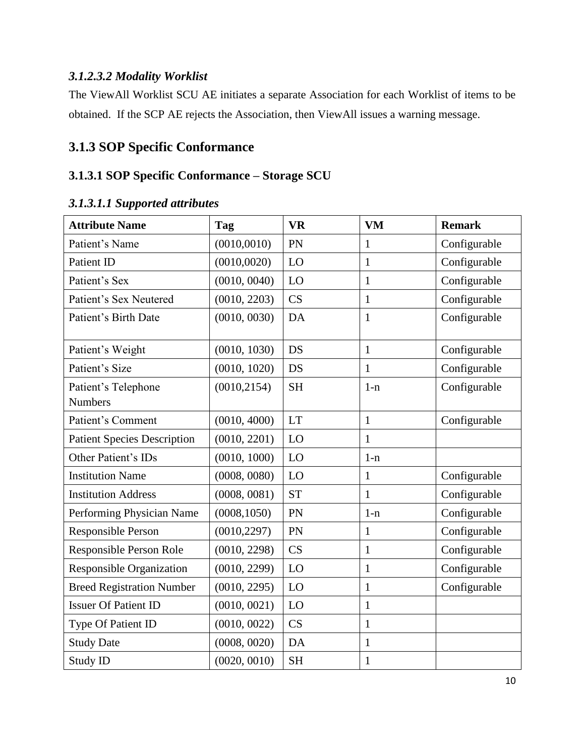#### *3.1.2.3.2 Modality Worklist*

The ViewAll Worklist SCU AE initiates a separate Association for each Worklist of items to be obtained. If the SCP AE rejects the Association, then ViewAll issues a warning message.

## **3.1.3 SOP Specific Conformance**

## <span id="page-9-0"></span>**3.1.3.1 SOP Specific Conformance – Storage SCU**

| <b>Attribute Name</b>                 | <b>Tag</b>   | <b>VR</b> | <b>VM</b>    | <b>Remark</b> |
|---------------------------------------|--------------|-----------|--------------|---------------|
| Patient's Name                        | (0010, 0010) | PN        | $\mathbf{1}$ | Configurable  |
| Patient ID                            | (0010, 0020) | LO        | $\mathbf{1}$ | Configurable  |
| Patient's Sex                         | (0010, 0040) | LO        | $\mathbf{1}$ | Configurable  |
| Patient's Sex Neutered                | (0010, 2203) | CS        | $\mathbf{1}$ | Configurable  |
| Patient's Birth Date                  | (0010, 0030) | DA        | $\mathbf{1}$ | Configurable  |
| Patient's Weight                      | (0010, 1030) | <b>DS</b> | $\mathbf{1}$ | Configurable  |
| Patient's Size                        | (0010, 1020) | <b>DS</b> | 1            | Configurable  |
| Patient's Telephone<br><b>Numbers</b> | (0010, 2154) | <b>SH</b> | $1-n$        | Configurable  |
| Patient's Comment                     | (0010, 4000) | <b>LT</b> | $\mathbf{1}$ | Configurable  |
| <b>Patient Species Description</b>    | (0010, 2201) | LO        | 1            |               |
| Other Patient's IDs                   | (0010, 1000) | LO        | $1-n$        |               |
| <b>Institution Name</b>               | (0008, 0080) | LO        | $\mathbf{1}$ | Configurable  |
| <b>Institution Address</b>            | (0008, 0081) | <b>ST</b> | $\mathbf{1}$ | Configurable  |
| Performing Physician Name             | (0008, 1050) | PN        | $1-n$        | Configurable  |
| Responsible Person                    | (0010, 2297) | PN        | $\mathbf{1}$ | Configurable  |
| Responsible Person Role               | (0010, 2298) | CS        | $\mathbf{1}$ | Configurable  |
| Responsible Organization              | (0010, 2299) | LO        | $\mathbf{1}$ | Configurable  |
| <b>Breed Registration Number</b>      | (0010, 2295) | LO        | $\mathbf{1}$ | Configurable  |
| <b>Issuer Of Patient ID</b>           | (0010, 0021) | LO        | $\mathbf{1}$ |               |
| Type Of Patient ID                    | (0010, 0022) | CS        | $\mathbf{1}$ |               |
| <b>Study Date</b>                     | (0008, 0020) | DA        | $\mathbf{1}$ |               |
| Study ID                              | (0020, 0010) | <b>SH</b> | $\mathbf{1}$ |               |

#### *3.1.3.1.1 Supported attributes*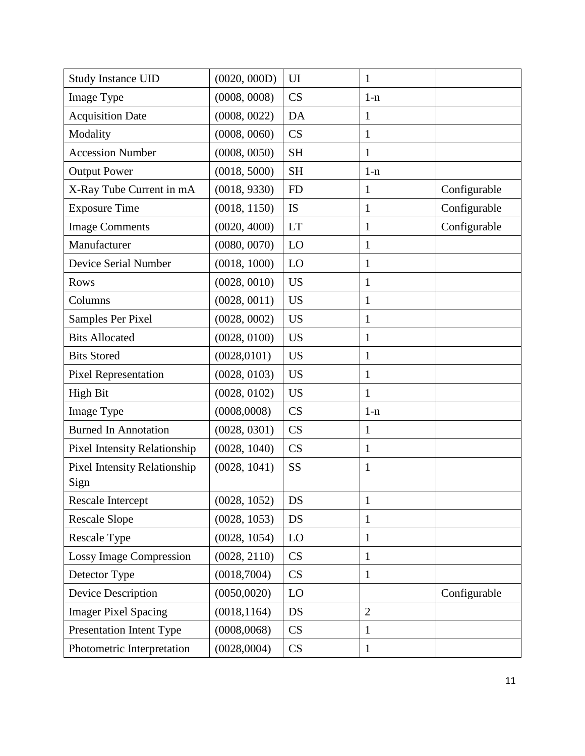| <b>Study Instance UID</b>                   | (0020, 000D) | UI        | $\mathbf{1}$   |              |
|---------------------------------------------|--------------|-----------|----------------|--------------|
| Image Type                                  | (0008, 0008) | CS        | $1-n$          |              |
| <b>Acquisition Date</b>                     | (0008, 0022) | DA        | $\mathbf{1}$   |              |
| Modality                                    | (0008, 0060) | CS        | 1              |              |
| <b>Accession Number</b>                     | (0008, 0050) | <b>SH</b> | $\mathbf{1}$   |              |
| <b>Output Power</b>                         | (0018, 5000) | <b>SH</b> | $1-n$          |              |
| X-Ray Tube Current in mA                    | (0018, 9330) | <b>FD</b> | 1              | Configurable |
| <b>Exposure Time</b>                        | (0018, 1150) | IS        | 1              | Configurable |
| <b>Image Comments</b>                       | (0020, 4000) | <b>LT</b> | $\mathbf{1}$   | Configurable |
| Manufacturer                                | (0080, 0070) | LO        | 1              |              |
| Device Serial Number                        | (0018, 1000) | LO        | $\mathbf{1}$   |              |
| <b>Rows</b>                                 | (0028, 0010) | <b>US</b> | 1              |              |
| Columns                                     | (0028, 0011) | <b>US</b> | $\mathbf{1}$   |              |
| Samples Per Pixel                           | (0028, 0002) | <b>US</b> | $\mathbf{1}$   |              |
| <b>Bits Allocated</b>                       | (0028, 0100) | <b>US</b> | 1              |              |
| <b>Bits Stored</b>                          | (0028, 0101) | <b>US</b> | $\mathbf{1}$   |              |
| <b>Pixel Representation</b>                 | (0028, 0103) | <b>US</b> | $\mathbf{1}$   |              |
| <b>High Bit</b>                             | (0028, 0102) | <b>US</b> | 1              |              |
| Image Type                                  | (0008,0008)  | CS        | $1-n$          |              |
| <b>Burned In Annotation</b>                 | (0028, 0301) | CS        | $\mathbf{1}$   |              |
| <b>Pixel Intensity Relationship</b>         | (0028, 1040) | CS        | 1              |              |
| <b>Pixel Intensity Relationship</b><br>Sign | (0028, 1041) | <b>SS</b> | $\mathbf{1}$   |              |
| Rescale Intercept                           | (0028, 1052) | DS        | 1              |              |
| <b>Rescale Slope</b>                        | (0028, 1053) | <b>DS</b> | $\mathbf{1}$   |              |
| Rescale Type                                | (0028, 1054) | LO        | 1              |              |
| <b>Lossy Image Compression</b>              | (0028, 2110) | CS        | $\mathbf{1}$   |              |
| Detector Type                               | (0018,7004)  | CS        | 1              |              |
| Device Description                          | (0050, 0020) | LO        |                | Configurable |
| <b>Imager Pixel Spacing</b>                 | (0018, 1164) | <b>DS</b> | $\overline{2}$ |              |
| Presentation Intent Type                    | (0008, 0068) | CS        | 1              |              |
| Photometric Interpretation                  | (0028,0004)  | CS        | $\mathbf{1}$   |              |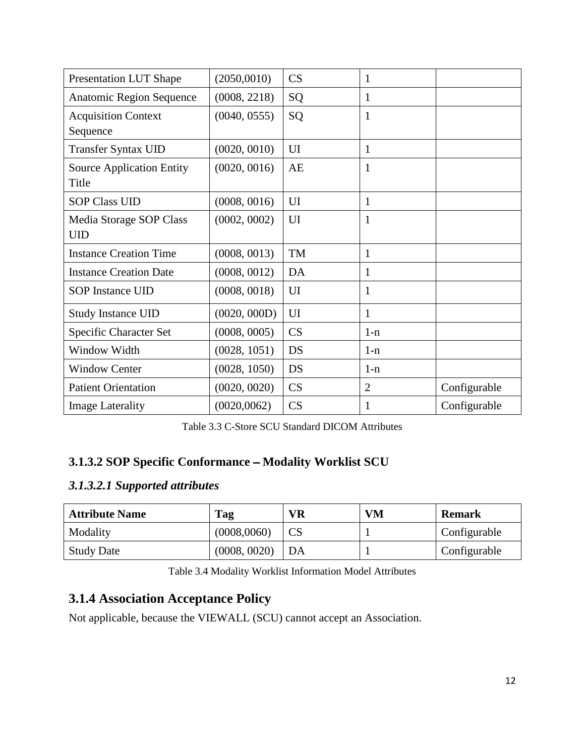| <b>Presentation LUT Shape</b>             | (2050,0010)  | CS        | 1              |              |
|-------------------------------------------|--------------|-----------|----------------|--------------|
| Anatomic Region Sequence                  | (0008, 2218) | SQ        | 1              |              |
| <b>Acquisition Context</b><br>Sequence    | (0040, 0555) | SQ        | $\mathbf{1}$   |              |
| <b>Transfer Syntax UID</b>                | (0020, 0010) | UI        | 1              |              |
| <b>Source Application Entity</b><br>Title | (0020, 0016) | AE        | $\mathbf{1}$   |              |
| <b>SOP Class UID</b>                      | (0008, 0016) | UI        | 1              |              |
| Media Storage SOP Class<br><b>UID</b>     | (0002, 0002) | UI        | 1              |              |
| <b>Instance Creation Time</b>             | (0008, 0013) | TM        | $\mathbf{1}$   |              |
| <b>Instance Creation Date</b>             | (0008, 0012) | DA        | 1              |              |
| <b>SOP Instance UID</b>                   | (0008, 0018) | UI        | 1              |              |
| <b>Study Instance UID</b>                 | (0020, 000D) | UI        | 1              |              |
| Specific Character Set                    | (0008, 0005) | CS        | $1-n$          |              |
| Window Width                              | (0028, 1051) | DS        | $1-n$          |              |
| <b>Window Center</b>                      | (0028, 1050) | DS        | $1-n$          |              |
| <b>Patient Orientation</b>                | (0020, 0020) | <b>CS</b> | $\overline{2}$ | Configurable |
| <b>Image Laterality</b>                   | (0020, 0062) | CS        | 1              | Configurable |

| Table 3.3 C-Store SCU Standard DICOM Attributes |  |
|-------------------------------------------------|--|
|-------------------------------------------------|--|

#### <span id="page-11-0"></span>**3.1.3.2 SOP Specific Conformance - Modality Worklist SCU**

## *3.1.3.2.1 Supported attributes*

| <b>Attribute Name</b> | Tag          | <b>VR</b> | <b>VM</b> | <b>Remark</b> |
|-----------------------|--------------|-----------|-----------|---------------|
| Modality              | (0008,0060)  |           |           | Configurable  |
| <b>Study Date</b>     | (0008, 0020) | DA        |           | Configurable  |

Table 3.4 Modality Worklist Information Model Attributes

## **3.1.4 Association Acceptance Policy**

Not applicable, because the VIEWALL (SCU) cannot accept an Association.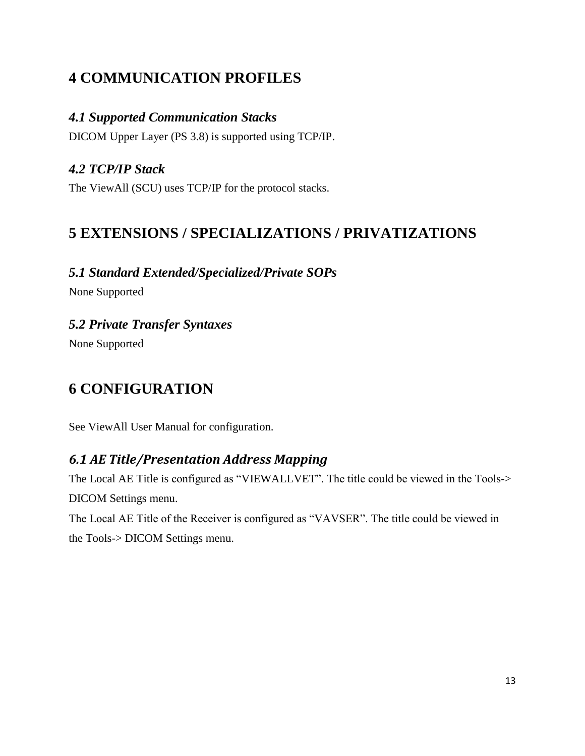# <span id="page-12-0"></span>**4 COMMUNICATION PROFILES**

## <span id="page-12-1"></span>*4.1 Supported Communication Stacks*

DICOM Upper Layer (PS 3.8) is supported using TCP/IP.

## <span id="page-12-2"></span>*4.2 TCP/IP Stack*

<span id="page-12-3"></span>The ViewAll (SCU) uses TCP/IP for the protocol stacks.

## **5 EXTENSIONS / SPECIALIZATIONS / PRIVATIZATIONS**

## <span id="page-12-4"></span>*5.1 Standard Extended/Specialized/Private SOPs*

None Supported

## <span id="page-12-5"></span>*5.2 Private Transfer Syntaxes*

<span id="page-12-6"></span>None Supported

# **6 CONFIGURATION**

See ViewAll User Manual for configuration.

## <span id="page-12-7"></span>*6.1 AE Title/Presentation Address Mapping*

The Local AE Title is configured as "VIEWALLVET". The title could be viewed in the Tools-> DICOM Settings menu.

The Local AE Title of the Receiver is configured as "VAVSER". The title could be viewed in the Tools-> DICOM Settings menu.